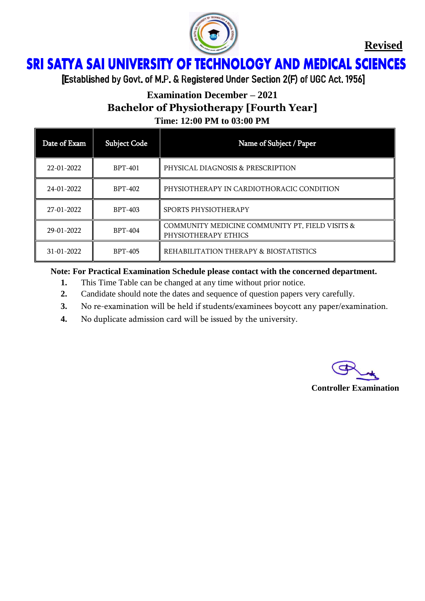

## ì Ï

[Established by Govt. of M.P. & Registered Under Section 2(F) of UGC Act. 1956]

## **Examination December – 2021 Bachelor of Physiotherapy [Fourth Year] Time: 12:00 PM to 03:00 PM**

| Date of Exam | <b>Subject Code</b> | Name of Subject / Paper                                                 |
|--------------|---------------------|-------------------------------------------------------------------------|
| 22-01-2022   | <b>BPT-401</b>      | PHYSICAL DIAGNOSIS & PRESCRIPTION                                       |
| 24-01-2022   | <b>BPT-402</b>      | PHYSIOTHERAPY IN CARDIOTHORACIC CONDITION                               |
| 27-01-2022   | <b>BPT-403</b>      | SPORTS PHYSIOTHERAPY                                                    |
| 29-01-2022   | <b>BPT-404</b>      | COMMUNITY MEDICINE COMMUNITY PT, FIELD VISITS &<br>PHYSIOTHERAPY ETHICS |
| 31-01-2022   | <b>BPT-405</b>      | REHABILITATION THERAPY & BIOSTATISTICS                                  |

- **1.** This Time Table can be changed at any time without prior notice.
- **2.** Candidate should note the dates and sequence of question papers very carefully.
- **3.** No re-examination will be held if students/examinees boycott any paper/examination.
- **4.** No duplicate admission card will be issued by the university.

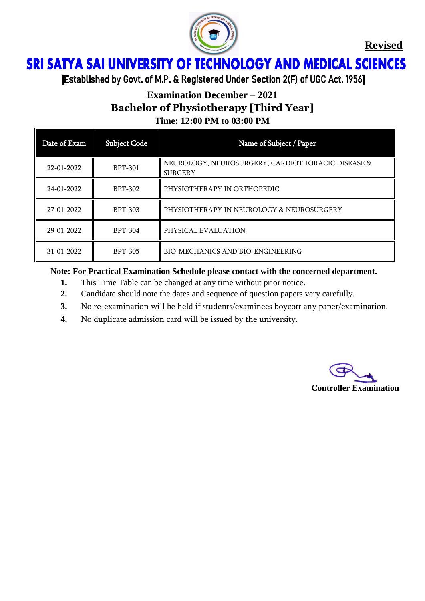

## ì Ï

[Established by Govt. of M.P. & Registered Under Section 2(F) of UGC Act. 1956]

# **Examination December – 2021 Bachelor of Physiotherapy [Third Year] Time: 12:00 PM to 03:00 PM**

| Date of Exam | <b>Subject Code</b> | Name of Subject / Paper                                             |
|--------------|---------------------|---------------------------------------------------------------------|
| 22-01-2022   | <b>BPT-301</b>      | NEUROLOGY, NEUROSURGERY, CARDIOTHORACIC DISEASE &<br><b>SURGERY</b> |
| 24-01-2022   | <b>BPT-302</b>      | PHYSIOTHERAPY IN ORTHOPEDIC                                         |
| 27-01-2022   | <b>BPT-303</b>      | PHYSIOTHERAPY IN NEUROLOGY & NEUROSURGERY                           |
| 29-01-2022   | <b>BPT-304</b>      | PHYSICAL EVALUATION                                                 |
| 31-01-2022   | <b>BPT-305</b>      | <b>BIO-MECHANICS AND BIO-ENGINEERING</b>                            |

- **1.** This Time Table can be changed at any time without prior notice.
- **2.** Candidate should note the dates and sequence of question papers very carefully.
- **3.** No re-examination will be held if students/examinees boycott any paper/examination.
- **4.** No duplicate admission card will be issued by the university.

**Controller Examination**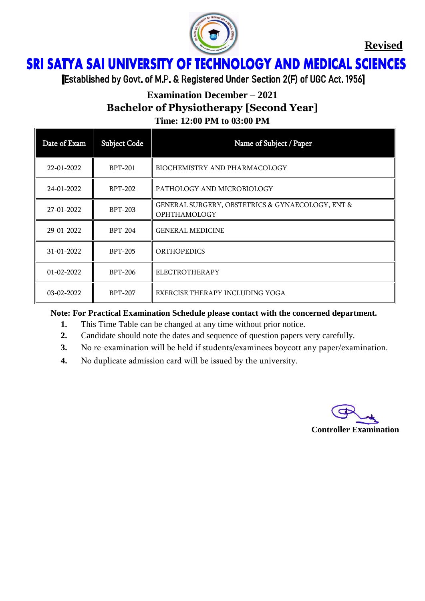

## **SRI SATYA SAI UNIVERSITY OF TECHNOLOGY AND MEDICAL SCIENCES** Ï

[Established by Govt. of M.P. & Registered Under Section 2(F) of UGC Act. 1956]

# **Examination December – 2021 Bachelor of Physiotherapy [Second Year]**

**Time: 12:00 PM to 03:00 PM** Date of Exam Subject Code Name of Subject / Paper 22-01-2022 **BPT-201** BIOCHEMISTRY AND PHARMACOLOGY 24-01-2022 BPT-202 PATHOLOGY AND MICROBIOLOGY 27-01-2022 BPT-203 GENERAL SURGERY, OBSTETRICS & GYNAECOLOGY, ENT & OPHTHAMOLOGY 29-01-2022 BPT-204 GENERAL MEDICINE 31-01-2022 BPT-205 ORTHOPEDICS 01-02-2022 BPT-206 ELECTROTHERAPY 03-02-2022 BPT-207 EXERCISE THERAPY INCLUDING YOGA

- **1.** This Time Table can be changed at any time without prior notice.
- **2.** Candidate should note the dates and sequence of question papers very carefully.
- **3.** No re-examination will be held if students/examinees boycott any paper/examination.
- **4.** No duplicate admission card will be issued by the university.